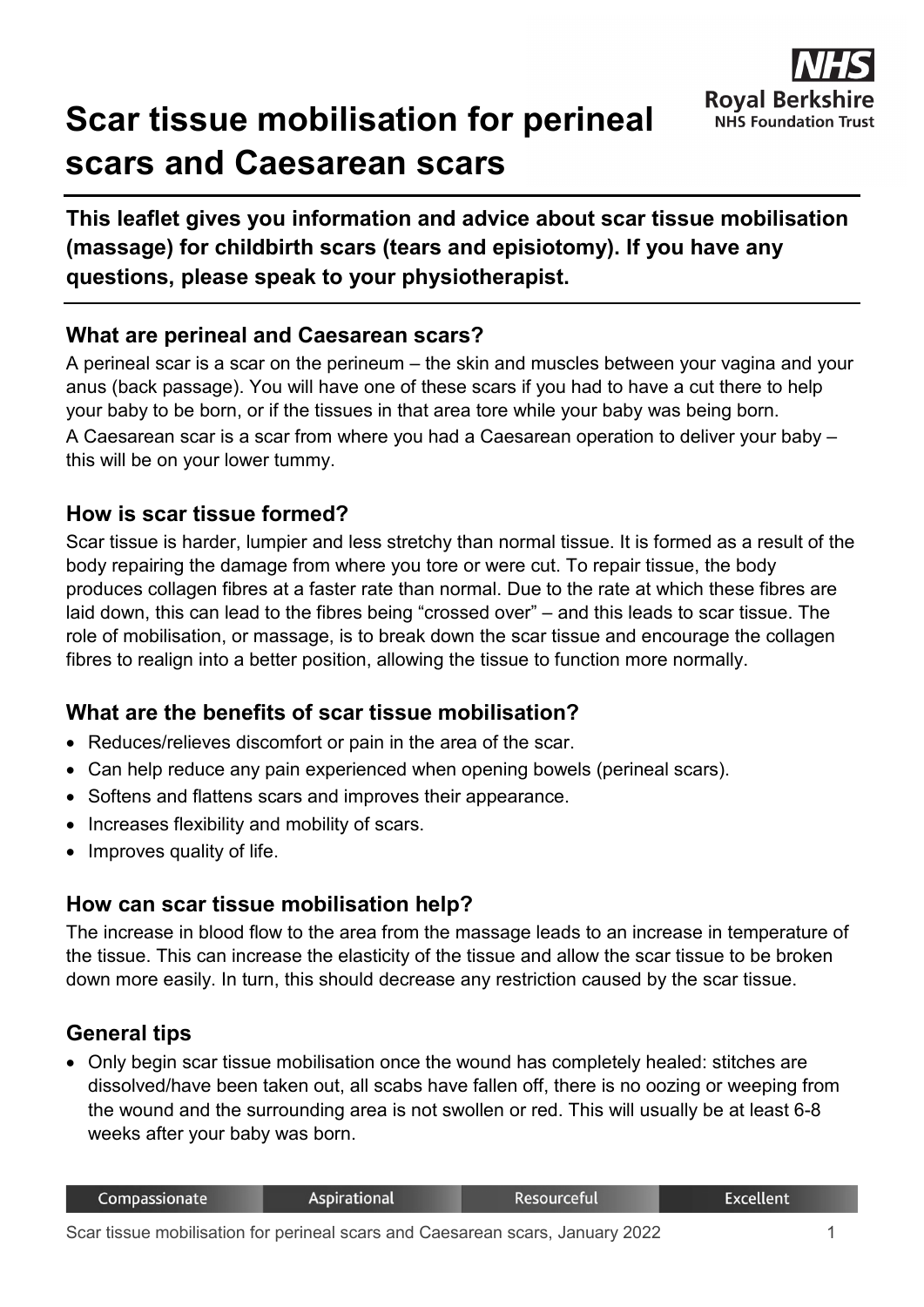

# **Scar tissue mobilisation for perineal scars and Caesarean scars**

**This leaflet gives you information and advice about scar tissue mobilisation (massage) for childbirth scars (tears and episiotomy). If you have any questions, please speak to your physiotherapist.**

# **What are perineal and Caesarean scars?**

A perineal scar is a scar on the perineum – the skin and muscles between your vagina and your anus (back passage). You will have one of these scars if you had to have a cut there to help your baby to be born, or if the tissues in that area tore while your baby was being born. A Caesarean scar is a scar from where you had a Caesarean operation to deliver your baby – this will be on your lower tummy.

### **How is scar tissue formed?**

Scar tissue is harder, lumpier and less stretchy than normal tissue. It is formed as a result of the body repairing the damage from where you tore or were cut. To repair tissue, the body produces collagen fibres at a faster rate than normal. Due to the rate at which these fibres are laid down, this can lead to the fibres being "crossed over" – and this leads to scar tissue. The role of mobilisation, or massage, is to break down the scar tissue and encourage the collagen fibres to realign into a better position, allowing the tissue to function more normally.

# **What are the benefits of scar tissue mobilisation?**

- Reduces/relieves discomfort or pain in the area of the scar.
- Can help reduce any pain experienced when opening bowels (perineal scars).
- Softens and flattens scars and improves their appearance.
- Increases flexibility and mobility of scars.
- Improves quality of life.

# **How can scar tissue mobilisation help?**

The increase in blood flow to the area from the massage leads to an increase in temperature of the tissue. This can increase the elasticity of the tissue and allow the scar tissue to be broken down more easily. In turn, this should decrease any restriction caused by the scar tissue.

# **General tips**

• Only begin scar tissue mobilisation once the wound has completely healed: stitches are dissolved/have been taken out, all scabs have fallen off, there is no oozing or weeping from the wound and the surrounding area is not swollen or red. This will usually be at least 6-8 weeks after your baby was born.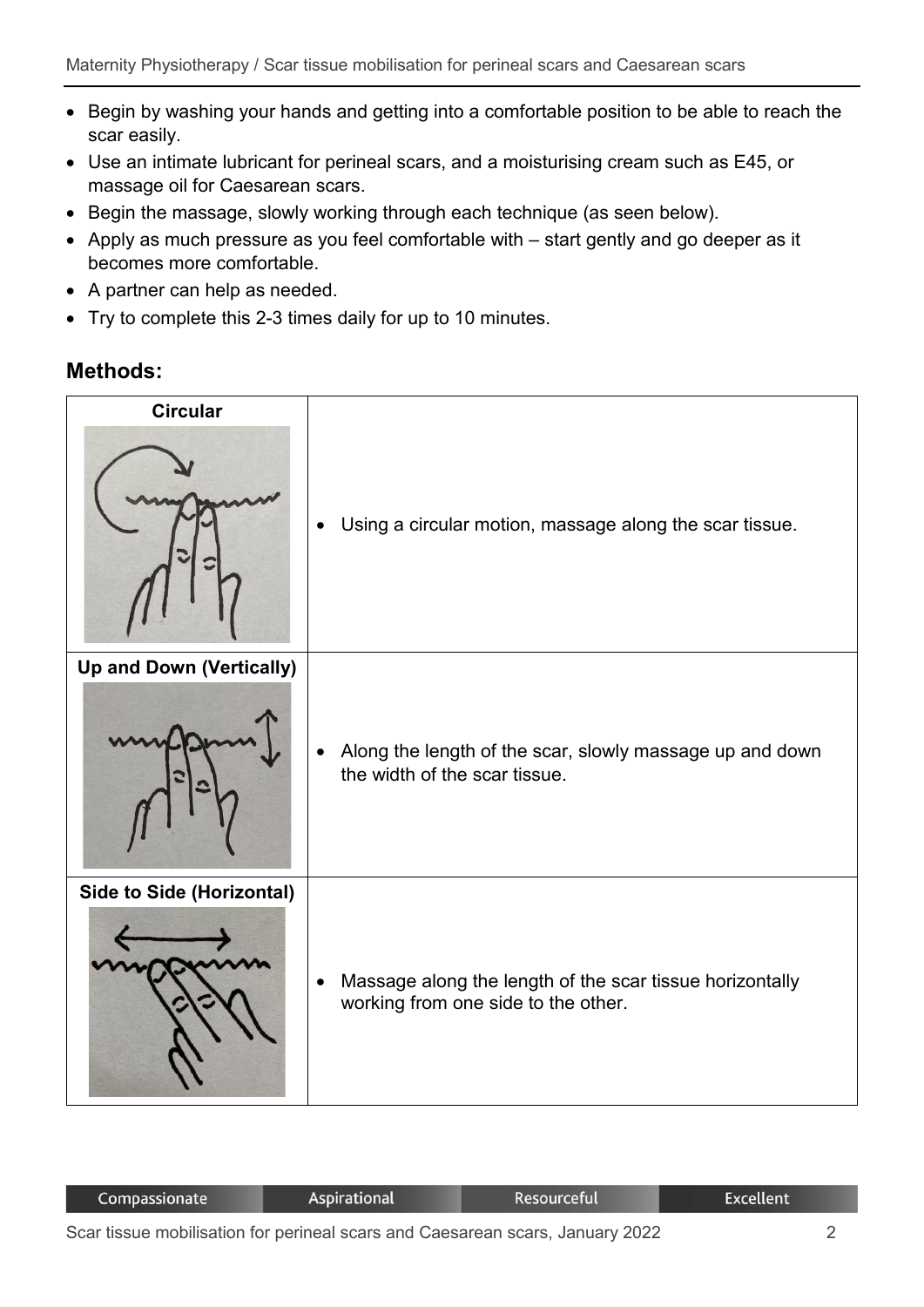- Begin by washing your hands and getting into a comfortable position to be able to reach the scar easily.
- Use an intimate lubricant for perineal scars, and a moisturising cream such as E45, or massage oil for Caesarean scars.
- Begin the massage, slowly working through each technique (as seen below).
- Apply as much pressure as you feel comfortable with start gently and go deeper as it becomes more comfortable.
- A partner can help as needed.
- Try to complete this 2-3 times daily for up to 10 minutes.

#### **Methods:**



| Compassionate |   |  |  | Aspirational |  |  |  | Resourceful |  |  |                                               | <b>Excellent</b> |  |  |  |  |
|---------------|---|--|--|--------------|--|--|--|-------------|--|--|-----------------------------------------------|------------------|--|--|--|--|
|               | . |  |  |              |  |  |  |             |  |  | $\mathbf{a} \mathbf{a} \mathbf{a} \mathbf{a}$ |                  |  |  |  |  |